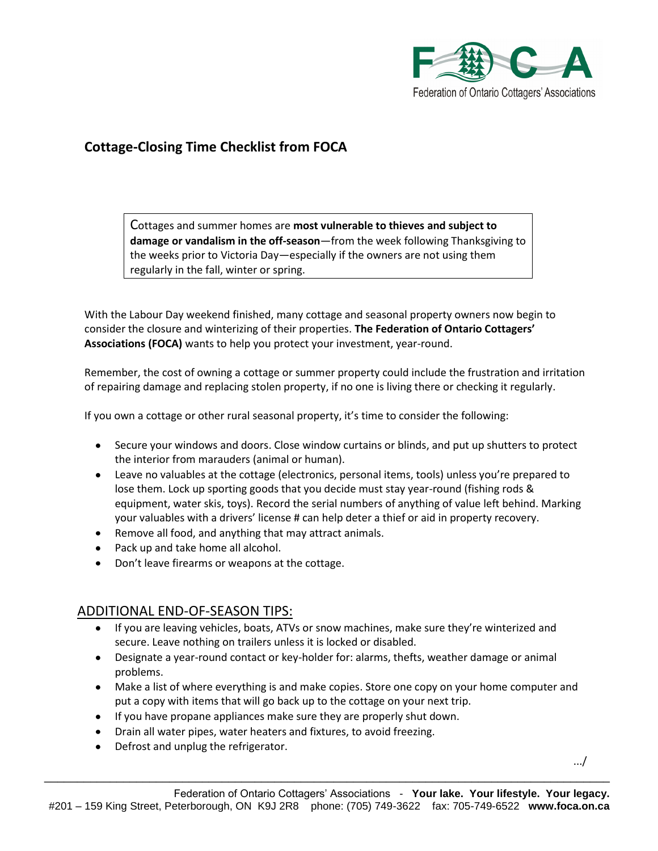

## **Cottage-Closing Time Checklist from FOCA**

Cottages and summer homes are **most vulnerable to thieves and subject to damage or vandalism in the off-season**—from the week following Thanksgiving to the weeks prior to Victoria Day—especially if the owners are not using them regularly in the fall, winter or spring.

With the Labour Day weekend finished, many cottage and seasonal property owners now begin to consider the closure and winterizing of their properties. **The Federation of Ontario Cottagers' Associations (FOCA)** wants to help you protect your investment, year-round.

Remember, the cost of owning a cottage or summer property could include the frustration and irritation of repairing damage and replacing stolen property, if no one is living there or checking it regularly.

If you own a cottage or other rural seasonal property, it's time to consider the following:

- Secure your windows and doors. Close window curtains or blinds, and put up shutters to protect the interior from marauders (animal or human).
- Leave no valuables at the cottage (electronics, personal items, tools) unless you're prepared to lose them. Lock up sporting goods that you decide must stay year-round (fishing rods & equipment, water skis, toys). Record the serial numbers of anything of value left behind. Marking your valuables with a drivers' license # can help deter a thief or aid in property recovery.
- Remove all food, and anything that may attract animals.
- Pack up and take home all alcohol.
- Don't leave firearms or weapons at the cottage.

## ADDITIONAL END-OF-SEASON TIPS:

- If you are leaving vehicles, boats, ATVs or snow machines, make sure they're winterized and secure. Leave nothing on trailers unless it is locked or disabled.
- Designate a year-round contact or key-holder for: alarms, thefts, weather damage or animal problems.
- Make a list of where everything is and make copies. Store one copy on your home computer and put a copy with items that will go back up to the cottage on your next trip.
- If you have propane appliances make sure they are properly shut down.
- Drain all water pipes, water heaters and fixtures, to avoid freezing.
- Defrost and unplug the refrigerator.

.../

\_\_\_\_\_\_\_\_\_\_\_\_\_\_\_\_\_\_\_\_\_\_\_\_\_\_\_\_\_\_\_\_\_\_\_\_\_\_\_\_\_\_\_\_\_\_\_\_\_\_\_\_\_\_\_\_\_\_\_\_\_\_\_\_\_\_\_\_\_\_\_\_\_\_\_\_\_\_\_\_\_\_\_\_\_\_